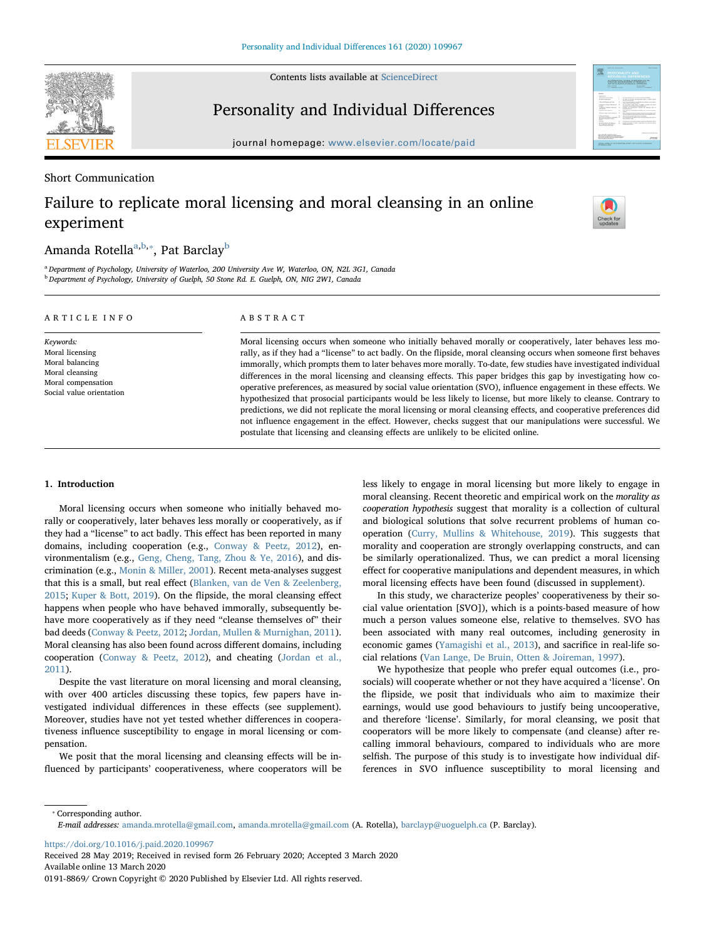Contents lists available at [ScienceDirect](http://www.sciencedirect.com/science/journal/01918869)



### Personality and Individual Differences

journal homepage: [www.elsevier.com/locate/paid](https://www.elsevier.com/locate/paid)

#### Short Communication

# Failure to replicate moral licensing and moral cleansing in an online experiment

# $\frac{N}{2}$

## Am[a](#page-0-0)nda Rotella $^{\mathrm{a,b},\ast},$  $^{\mathrm{a,b},\ast},$  $^{\mathrm{a,b},\ast},$  Pat Barclay $^{\mathrm{b}}$

<span id="page-0-1"></span><span id="page-0-0"></span><sup>a</sup> Department of Psychology, University of Waterloo, 200 University Ave W, Waterloo, ON, N2L 3G1, Canada <sup>b</sup> Department of Psychology, University of Guelph, 50 Stone Rd. E. Guelph, ON, NIG 2W1, Canada

#### ARTICLE INFO

Keywords: Moral licensing Moral balancing Moral cleansing Moral compensation Social value orientation

#### ABSTRACT

Moral licensing occurs when someone who initially behaved morally or cooperatively, later behaves less morally, as if they had a "license" to act badly. On the flipside, moral cleansing occurs when someone first behaves immorally, which prompts them to later behaves more morally. To-date, few studies have investigated individual differences in the moral licensing and cleansing effects. This paper bridges this gap by investigating how cooperative preferences, as measured by social value orientation (SVO), influence engagement in these effects. We hypothesized that prosocial participants would be less likely to license, but more likely to cleanse. Contrary to predictions, we did not replicate the moral licensing or moral cleansing effects, and cooperative preferences did not influence engagement in the effect. However, checks suggest that our manipulations were successful. We postulate that licensing and cleansing effects are unlikely to be elicited online.

#### 1. Introduction

Moral licensing occurs when someone who initially behaved morally or cooperatively, later behaves less morally or cooperatively, as if they had a "license" to act badly. This effect has been reported in many domains, including cooperation (e.g., [Conway & Peetz, 2012\)](#page-3-0), environmentalism (e.g., [Geng, Cheng, Tang, Zhou & Ye, 2016\)](#page-3-1), and discrimination (e.g., [Monin & Miller, 2001](#page-3-2)). Recent meta-analyses suggest that this is a small, but real effect [\(Blanken, van de Ven & Zeelenberg,](#page-3-3) [2015;](#page-3-3) [Kuper & Bott, 2019](#page-3-4)). On the flipside, the moral cleansing effect happens when people who have behaved immorally, subsequently behave more cooperatively as if they need "cleanse themselves of" their bad deeds [\(Conway & Peetz, 2012;](#page-3-0) [Jordan, Mullen & Murnighan, 2011](#page-3-5)). Moral cleansing has also been found across different domains, including cooperation ([Conway & Peetz, 2012](#page-3-0)), and cheating ([Jordan et al.,](#page-3-5) [2011\)](#page-3-5).

Despite the vast literature on moral licensing and moral cleansing, with over 400 articles discussing these topics, few papers have investigated individual differences in these effects (see supplement). Moreover, studies have not yet tested whether differences in cooperativeness influence susceptibility to engage in moral licensing or compensation.

We posit that the moral licensing and cleansing effects will be influenced by participants' cooperativeness, where cooperators will be less likely to engage in moral licensing but more likely to engage in moral cleansing. Recent theoretic and empirical work on the morality as cooperation hypothesis suggest that morality is a collection of cultural and biological solutions that solve recurrent problems of human cooperation ([Curry, Mullins & Whitehouse, 2019](#page-3-6)). This suggests that morality and cooperation are strongly overlapping constructs, and can be similarly operationalized. Thus, we can predict a moral licensing effect for cooperative manipulations and dependent measures, in which moral licensing effects have been found (discussed in supplement).

In this study, we characterize peoples' cooperativeness by their social value orientation [SVO]), which is a points-based measure of how much a person values someone else, relative to themselves. SVO has been associated with many real outcomes, including generosity in economic games [\(Yamagishi et al., 2013\)](#page-3-7), and sacrifice in real-life social relations [\(Van Lange, De Bruin, Otten & Joireman, 1997](#page-3-8)).

We hypothesize that people who prefer equal outcomes (i.e., prosocials) will cooperate whether or not they have acquired a 'license'. On the flipside, we posit that individuals who aim to maximize their earnings, would use good behaviours to justify being uncooperative, and therefore 'license'. Similarly, for moral cleansing, we posit that cooperators will be more likely to compensate (and cleanse) after recalling immoral behaviours, compared to individuals who are more selfish. The purpose of this study is to investigate how individual differences in SVO influence susceptibility to moral licensing and

<span id="page-0-2"></span>⁎ Corresponding author.

<https://doi.org/10.1016/j.paid.2020.109967>

Received 28 May 2019; Received in revised form 26 February 2020; Accepted 3 March 2020 Available online 13 March 2020 0191-8869/ Crown Copyright © 2020 Published by Elsevier Ltd. All rights reserved.

E-mail addresses: [amanda.mrotella@gmail.com](mailto:amanda.mrotella@gmail.com), [amanda.mrotella@gmail.com](mailto:amanda.mrotella@gmail.com) (A. Rotella), [barclayp@uoguelph.ca](mailto:barclayp@uoguelph.ca) (P. Barclay).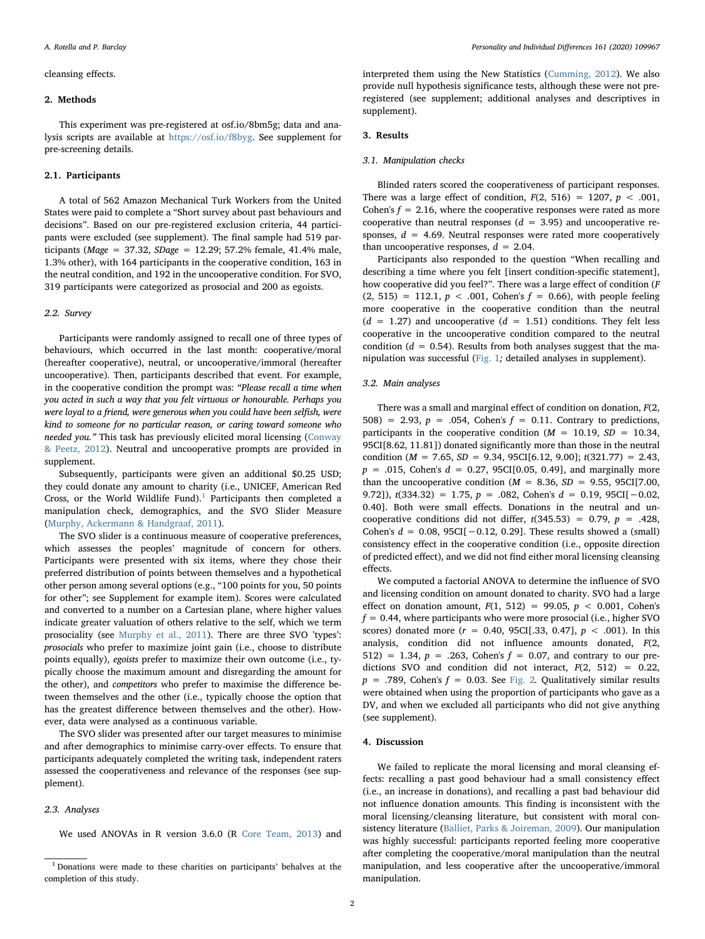#### cleansing effects.

#### 2. Methods

This experiment was pre-registered at osf.io/8bm5g; data and analysis scripts are available at <https://osf.io/f8byg>. See supplement for pre-screening details.

#### 2.1. Participants

A total of 562 Amazon Mechanical Turk Workers from the United States were paid to complete a "Short survey about past behaviours and decisions". Based on our pre-registered exclusion criteria, 44 participants were excluded (see supplement). The final sample had 519 participants (*Mage = 37.32, SDage = 12.29*; 57.2% female, 41.4% male, 1.3% other), with 164 participants in the cooperative condition, 163 in the neutral condition, and 192 in the uncooperative condition. For SVO, 319 participants were categorized as prosocial and 200 as egoists.

#### 2.2. Survey

Participants were randomly assigned to recall one of three types of behaviours, which occurred in the last month: cooperative/moral (hereafter cooperative), neutral, or uncooperative/immoral (hereafter uncooperative). Then, participants described that event. For example, in the cooperative condition the prompt was: "Please recall a time when you acted in such a way that you felt virtuous or honourable. Perhaps you were loyal to a friend, were generous when you could have been selfish, were kind to someone for no particular reason, or caring toward someone who needed you." This task has previously elicited moral licensing [\(Conway](#page-3-0) [& Peetz, 2012\)](#page-3-0). Neutral and uncooperative prompts are provided in supplement.

Subsequently, participants were given an additional \$0.25 USD; they could donate any amount to charity (i.e., UNICEF, American Red Cross, or the World Wildlife Fund).<sup>[1](#page-1-0)</sup> Participants then completed a manipulation check, demographics, and the SVO Slider Measure ([Murphy, Ackermann & Handgraaf, 2011](#page-3-9)).

The SVO slider is a continuous measure of cooperative preferences, which assesses the peoples' magnitude of concern for others. Participants were presented with six items, where they chose their preferred distribution of points between themselves and a hypothetical other person among several options (e.g., "100 points for you, 50 points for other"; see Supplement for example item). Scores were calculated and converted to a number on a Cartesian plane, where higher values indicate greater valuation of others relative to the self, which we term prosociality (see [Murphy et al., 2011](#page-3-9)). There are three SVO 'types': prosocials who prefer to maximize joint gain (i.e., choose to distribute points equally), egoists prefer to maximize their own outcome (i.e., typically choose the maximum amount and disregarding the amount for the other), and competitors who prefer to maximise the difference between themselves and the other (i.e., typically choose the option that has the greatest difference between themselves and the other). However, data were analysed as a continuous variable.

The SVO slider was presented after our target measures to minimise and after demographics to minimise carry-over effects. To ensure that participants adequately completed the writing task, independent raters assessed the cooperativeness and relevance of the responses (see supplement).

#### 2.3. Analyses

We used ANOVAs in R version 3.6.0 (R [Core Team, 2013\)](#page-3-10) and

interpreted them using the New Statistics [\(Cumming, 2012\)](#page-3-11). We also provide null hypothesis significance tests, although these were not preregistered (see supplement; additional analyses and descriptives in supplement).

#### 3. Results

#### 3.1. Manipulation checks

Blinded raters scored the cooperativeness of participant responses. There was a large effect of condition,  $F(2, 516) = 1207$ ,  $p < .001$ . Cohen's  $f = 2.16$ , where the cooperative responses were rated as more cooperative than neutral responses  $(d = 3.95)$  and uncooperative responses,  $d = 4.69$ . Neutral responses were rated more cooperatively than uncooperative responses,  $d = 2.04$ .

Participants also responded to the question "When recalling and describing a time where you felt [insert condition-specific statement], how cooperative did you feel?". There was a large effect of condition (F  $(2, 515) = 112.1, p < .001$ , Cohen's  $f = 0.66$ ), with people feeling more cooperative in the cooperative condition than the neutral  $(d = 1.27)$  and uncooperative  $(d = 1.51)$  conditions. They felt less cooperative in the uncooperative condition compared to the neutral condition ( $d = 0.54$ ). Results from both analyses suggest that the manipulation was successful [\(Fig. 1](#page-2-0); detailed analyses in supplement).

#### 3.2. Main analyses

There was a small and marginal effect of condition on donation,  $F(2)$ , 508) = 2.93,  $p = .054$ , Cohen's  $f = 0.11$ . Contrary to predictions, participants in the cooperative condition ( $M = 10.19$ ,  $SD = 10.34$ , 95CI[8.62, 11.81]) donated significantly more than those in the neutral condition ( $M = 7.65$ ,  $SD = 9.34$ , 95CI[6.12, 9.00];  $t(321.77) = 2.43$ ,  $p = .015$ , Cohen's  $d = 0.27$ , 95CI[0.05, 0.49], and marginally more than the uncooperative condition ( $M = 8.36$ ,  $SD = 9.55$ , 95CI[7.00, 9.72]),  $t(334.32) = 1.75$ ,  $p = .082$ , Cohen's  $d = 0.19$ , 95CI[-0.02, 0.40]. Both were small effects. Donations in the neutral and uncooperative conditions did not differ,  $t(345.53) = 0.79$ ,  $p = .428$ , Cohen's  $d = 0.08$ , 95CI[ $-0.12$ , 0.29]. These results showed a (small) consistency effect in the cooperative condition (i.e., opposite direction of predicted effect), and we did not find either moral licensing cleansing effects.

We computed a factorial ANOVA to determine the influence of SVO and licensing condition on amount donated to charity. SVO had a large effect on donation amount,  $F(1, 512) = 99.05$ ,  $p < 0.001$ , Cohen's  $f = 0.44$ , where participants who were more prosocial (i.e., higher SVO scores) donated more  $(r = 0.40, 95CI[0.33, 0.47], p < .001$ ). In this analysis, condition did not influence amounts donated, F(2, 512) = 1.34,  $p = .263$ , Cohen's  $f = 0.07$ , and contrary to our predictions SVO and condition did not interact, F(2, 512) = 0.22,  $p = .789$ , Cohen's  $f = 0.03$ . See [Fig. 2](#page-2-1). Qualitatively similar results were obtained when using the proportion of participants who gave as a DV, and when we excluded all participants who did not give anything (see supplement).

#### 4. Discussion

We failed to replicate the moral licensing and moral cleansing effects: recalling a past good behaviour had a small consistency effect (i.e., an increase in donations), and recalling a past bad behaviour did not influence donation amounts. This finding is inconsistent with the moral licensing/cleansing literature, but consistent with moral consistency literature ([Balliet, Parks & Joireman, 2009](#page-3-12)). Our manipulation was highly successful: participants reported feeling more cooperative after completing the cooperative/moral manipulation than the neutral manipulation, and less cooperative after the uncooperative/immoral manipulation.

<span id="page-1-0"></span><sup>1</sup> Donations were made to these charities on participants' behalves at the completion of this study.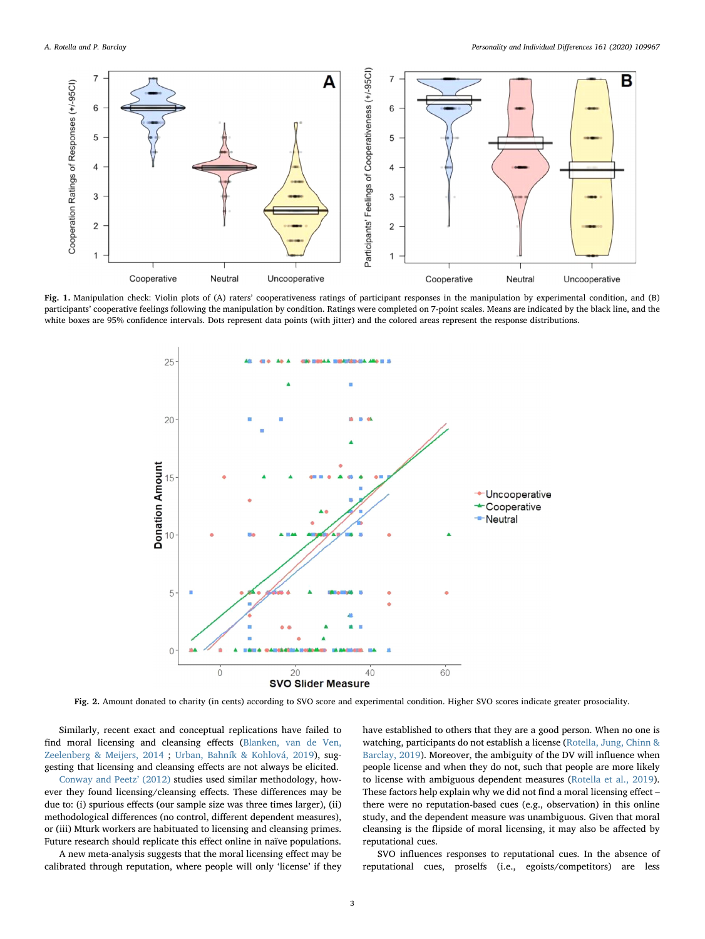<span id="page-2-0"></span>

<span id="page-2-1"></span>Fig. 1. Manipulation check: Violin plots of (A) raters' cooperativeness ratings of participant responses in the manipulation by experimental condition, and (B) participants' cooperative feelings following the manipulation by condition. Ratings were completed on 7-point scales. Means are indicated by the black line, and the white boxes are 95% confidence intervals. Dots represent data points (with jitter) and the colored areas represent the response distributions.



Fig. 2. Amount donated to charity (in cents) according to SVO score and experimental condition. Higher SVO scores indicate greater prosociality.

Similarly, recent exact and conceptual replications have failed to find moral licensing and cleansing effects ([Blanken, van de Ven,](#page-3-13) [Zeelenberg & Meijers, 2014](#page-3-13) ; [Urban, Bahník & Kohlová, 2019](#page-3-14)), suggesting that licensing and cleansing effects are not always be elicited.

[Conway and Peetz](#page-3-0)' (2012) studies used similar methodology, however they found licensing/cleansing effects. These differences may be due to: (i) spurious effects (our sample size was three times larger), (ii) methodological differences (no control, different dependent measures), or (iii) Mturk workers are habituated to licensing and cleansing primes. Future research should replicate this effect online in naïve populations.

A new meta-analysis suggests that the moral licensing effect may be calibrated through reputation, where people will only 'license' if they have established to others that they are a good person. When no one is watching, participants do not establish a license ([Rotella, Jung, Chinn &](#page-3-15) [Barclay, 2019](#page-3-15)). Moreover, the ambiguity of the DV will influence when people license and when they do not, such that people are more likely to license with ambiguous dependent measures ([Rotella et al., 2019](#page-3-15)). These factors help explain why we did not find a moral licensing effect – there were no reputation-based cues (e.g., observation) in this online study, and the dependent measure was unambiguous. Given that moral cleansing is the flipside of moral licensing, it may also be affected by reputational cues.

SVO influences responses to reputational cues. In the absence of reputational cues, proselfs (i.e., egoists/competitors) are less